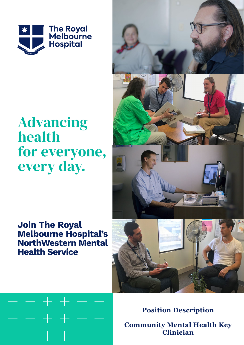

# **Advancing** health for everyone, every day.

## **Join The Royal Melbourne Hospital's NorthWestern Mental Health Service**

 $+ + + + + +$ 

 $+ + + + + +$ 

+ + + + + +



**Position Description Community Mental Health Key Clinician**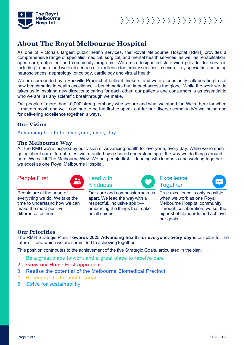

## **About The Royal Melbourne Hospital**

As one of Victoria's largest public health services, the Royal Melbourne Hospital (RMH) provides a comprehensive range of specialist medical, surgical, and mental health services; as well as rehabilitation, aged care, outpatient and community programs. We are a designated state-wide provider for services including trauma, and we lead centres of excellence for tertiary services in several key specialties including neurosciences, nephrology, oncology, cardiology and virtual health.

We are surrounded by a Parkville Precinct of brilliant thinkers, and we are constantly collaborating to set new benchmarks in health excellence - benchmarks that impact across the globe. While the work we do takes us in inspiring new directions; caring for each other, our patients and consumers is as essential to who we are, as any scientific breakthrough we make.

Our people of more than 10,000 strong, embody who we are and what we stand for. We're here for when it matters most, and we'll continue to be the first to speak out for our diverse community's wellbeing and for delivering excellence together, always.

### **Our Vision**

Advancing health for everyone, every day.

### **The Melbourne Way**

At The RMH we're inspired by our vision of Advancing health for everyone, every day. While we're each going about our different roles, we're united by a shared understanding of the way we do things around here. We call it The Melbourne Way. We put people first — leading with kindness and working together, we excel as one Royal Melbourne Hospital.

### People First **Lead with**



Kindness

**Excellence Together** 



People are at the heart of everything we do. We take the time to understand how we can make the most positive difference forthem.

Our care and compassion sets us apart. We lead the way with a respectful, inclusive spirit embracing the things that make us all unique.

True excellence is only possible when we work as one Royal Melbourne Hospital community. Through collaboration, we set the highest of standards and achieve our goals.

### **Our Priorities**

The RMH Strategic Plan: **Towards 2025 Advancing health for everyone, every day** is our plan for the future — one which we are committed to achieving together.

This position contributes to the achievement of the five Strategic Goals, articulated in the plan:

- 1. Be a great place to work and a great place to receive care
- 2. Grow our Home First approach
- 3. Realise the potential of the Melbourne Biomedical Precinct
- 4. Become a digital health service
- 5. Strive for sustainability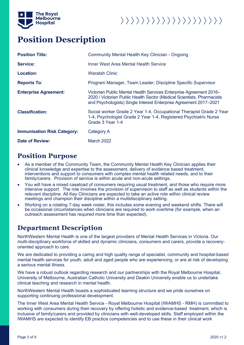

## **Position Description**

| <b>Position Title:</b>             | Community Mental Health Key Clinician - Ongoing                                                                                                                                                                   |
|------------------------------------|-------------------------------------------------------------------------------------------------------------------------------------------------------------------------------------------------------------------|
| <b>Service:</b>                    | Inner West Area Mental Health Service                                                                                                                                                                             |
| Location:                          | <b>Waratah Clinic</b>                                                                                                                                                                                             |
| <b>Reports To:</b>                 | Program Manager, Team Leader, Discipline Specific Supervisor                                                                                                                                                      |
| <b>Enterprise Agreement:</b>       | Victorian Public Mental Health Services Enterprise Agreement 2016-<br>2020 / Victorian Public Health Sector (Medical Scientists, Pharmacists<br>and Psychologists) Single Interest Enterprise Agreement 2017-2021 |
| <b>Classification:</b>             | Social worker Grade 2 Year 1-4, Occupational Therapist Grade 2 Year<br>1-4, Psychologist Grade 2 Year 1-4, Registered Psychiatric Nurse<br>Grade 3 Year 1-4                                                       |
| <b>Immunisation Risk Category:</b> | Category A                                                                                                                                                                                                        |
| <b>Date of Review:</b>             | March 2022                                                                                                                                                                                                        |

### **Position Purpose**

- As a member of the Community Team, the Community Mental Health Key Clinician applies their clinical knowledge and expertise to the assessment, delivery of evidence based treatment, interventions and support to consumers with complex mental health related needs, and to their family/carers. Provision of service is within acute and non-acute settings.
- You will have a mixed caseload of consumers requiring usual treatment, and those who require more intensive support. The role involves the provision of supervision to staff as well as students within the relevant discipline. All Key Clinicians are expected to take an active role within clinical review meetings and champion their discipline within a multidisciplinary setting.
- Working on a rotating 7-day week roster, this includes some evening and weekend shifts. There will be occasional circumstances when clinicians are required to work overtime (for example, when an outreach assessment has required more time than expected).

## **Department Description**

NorthWestern Mental Health is one of the largest providers of Mental Health Services in Victoria. Our multi-disciplinary workforce of skilled and dynamic clinicians, consumers and carers, provide a recoveryoriented approach to care.

We are dedicated to providing a caring and high quality range of specialist, community and hospital-based mental health services for youth, adult and aged people who are experiencing, or are at risk of developing a serious mental illness.

We have a robust outlook regarding research and our partnerships with the Royal Melbourne Hospital, University of Melbourne, Australian Catholic University and Deakin University enable us to undertake clinical teaching and research in mental health.

NorthWestern Mental Health boasts a sophisticated learning structure and we pride ourselves on supporting continuing professional development.

The Inner West Area Mental Health Service - Royal Melbourne Hospital (IWAMHS - RMH) is committed to working with consumers during their recovery by offering holistic and evidence-based treatment, which is inclusive of family/carers and provided by clinicians with well-developed skills. Staff employed within the IWAMHS are expected to identify EB practice competencies and to use these in their clinical work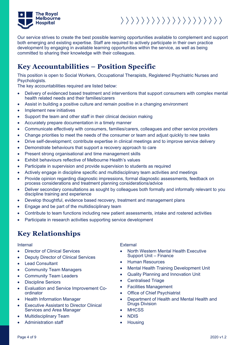

Our service strives to create the best possible learning opportunities available to complement and support both emerging and existing expertise. Staff are required to actively participate in their own practice development by engaging in available learning opportunities within the service, as well as being committed to sharing their knowledge with their colleagues.

## **Key Accountabilities – Position Specific**

This position is open to Social Workers, Occupational Therapists, Registered Psychiatric Nurses and Psychologists.

The key accountabilities required are listed below:

- Delivery of evidenced based treatment and interventions that support consumers with complex mental health related needs and their families/carers
- Assist in building a positive culture and remain positive in a changing environment
- Implement new initiatives
- Support the team and other staff in their clinical decision making
- Accurately prepare documentation in a timely manner
- Communicate effectively with consumers, families/carers, colleagues and other service providers
- Change priorities to meet the needs of the consumer or team and adjust quickly to new tasks
- Drive self-development; contribute expertise in clinical meetings and to improve service delivery
- Demonstrate behaviours that support a recovery approach to care
- Present strong organisational and time management skills
- Exhibit behaviours reflective of Melbourne Health's values
- Participate in supervision and provide supervision to students as required
- Actively engage in discipline specific and multidisciplinary team activities and meetings
- Provide opinion regarding diagnostic impressions, formal diagnostic assessments, feedback on process considerations and treatment planning considerations/advice
- Deliver secondary consultations as sought by colleagues both formally and informally relevant to you discipline training and experience
- Develop thoughtful, evidence based recovery, treatment and management plans
- Engage and be part of the multidisciplinary team
- Contribute to team functions including new patient assessments, intake and rostered activities
- Participate in research activities supporting service development

## **Key Relationships**

- Director of Clinical Services
- Deputy Director of Clinical Services
- Lead Consultant
- Community Team Managers
- Community Team Leaders
- Discipline Seniors
- Evaluation and Service Improvement Coordinator
- Health Information Manager
- Executive Assistant to Director Clinical Services and Area Manager
- Multidisciplinary Team
- Administration staff

Internal External

- North Western Mental Health Executive Support Unit – Finance
- Human Resources
- Mental Health Training Development Unit
- Quality Planning and Innovation Unit
- Centralised Triage
- Facilities Management
- Office of Chief Psychiatrist
- Department of Health and Mental Health and Drugs Division
- MHCSS
- NDIS
- **Housing**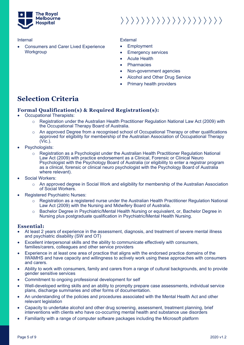

• Consumers and Carer Lived Experience **Workgroup** 

### Internal External

- **Employment**
- Emergency services
- **Acute Health**
- **Pharmacies**
- Non-government agencies
- Alcohol and Other Drug Service
- Primary health providers

## **Selection Criteria**

### **Formal Qualification(s) & Required Registration(s):**

- Occupational Therapists:
	- $\circ$  Registration under the Australian Health Practitioner Regulation National Law Act (2009) with the Occupational Therapy Board of Australia.
	- An approved Degree from a recognised school of Occupational Therapy or other qualifications approved for eligibility for membership of the Australian Association of Occupational Therapy (Vic.).
- Psychologists:
	- $\circ$  Registration as a Psychologist under the Australian Health Practitioner Regulation National Law Act (2009) with practice endorsement as a Clinical, Forensic or Clinical Neuro Psychologist with the Psychology Board of Australia (or eligibility to enter a registrar program as a clinical, forensic or clinical neuro psychologist with the Psychology Board of Australia where relevant).
- Social Workers:
	- o An approved degree in Social Work and eligibility for membership of the Australian Association of Social Workers.
- Registered Psychiatric Nurses:
	- $\circ$  Registration as a registered nurse under the Australian Health Practitioner Regulation National Law Act (2009) with the Nursing and Midwifery Board of Australia.
	- o Bachelor Degree in Psychiatric/Mental Health Nursing or equivalent, or, Bachelor Degree in Nursing plus postgraduate qualification in Psychiatric/Mental Health Nursing.

### **Essential:**

- At least 2 years of experience in the assessment, diagnosis, and treatment of severe mental illness and psychiatric disability (SW and OT)
- Excellent interpersonal skills and the ability to communicate effectively with consumers, families/carers, colleagues and other service providers
- Experience in at least one area of practice that aligns with the endorsed practice domains of the IWAMHS and have capacity and willingness to actively work using these approaches with consumers and carers.
- Ability to work with consumers, family and carers from a range of cultural backgrounds, and to provide gender sensitive services
- Commitment to ongoing professional development for self
- Well-developed writing skills and an ability to promptly prepare case assessments, individual service plans, discharge summaries and other forms of documentation.
- An understanding of the policies and procedures associated with the Mental Health Act and other relevant legislation
- Capacity to undertake alcohol and other drug screening, assessment, treatment planning, brief interventions with clients who have co-occurring mental health and substance use disorders
- Familiarity with a range of computer software packages including the Microsoft platform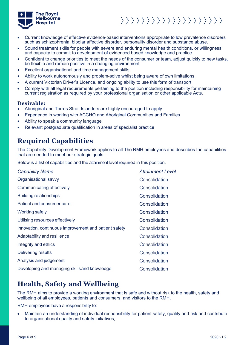

- Current knowledge of effective evidence-based interventions appropriate to low prevalence disorders such as schizophrenia, bipolar affective disorder, personality disorder and substance abuse.
- Sound treatment skills for people with severe and enduring mental health conditions, or willingness and capacity to commit to development of evidenced based knowledge and practice
- Confident to change priorities to meet the needs of the consumer or team, adjust quickly to new tasks, be flexible and remain positive in a changing environment
- Excellent organisational and time management skills
- Ability to work autonomously and problem-solve whilst being aware of own limitations.
- A current Victorian Driver's Licence, and ongoing ability to use this form of transport
- Comply with all legal requirements pertaining to the position including responsibility for maintaining current registration as required by your professional organisation or other applicable Acts.

### **Desirable:**

- Aboriginal and Torres Strait Islanders are highly encouraged to apply
- Experience in working with ACCHO and Aboriginal Communities and Families
- Ability to speak a community language
- Relevant postgraduate qualification in areas of specialist practice

## **Required Capabilities**

The Capability Development Framework applies to all The RMH employees and describes the capabilities that are needed to meet our strategic goals.

Below is a list of capabilities and the attainment level required in this position.

| <b>Capability Name</b>                                | <b>Attainment Level</b> |
|-------------------------------------------------------|-------------------------|
| Organisational savvy                                  | Consolidation           |
| Communicating effectively                             | Consolidation           |
| <b>Building relationships</b>                         | Consolidation           |
| Patient and consumer care                             | Consolidation           |
| Working safely                                        | Consolidation           |
| Utilising resources effectively                       | Consolidation           |
| Innovation, continuous improvement and patient safety | Consolidation           |
| Adaptability and resilience                           | Consolidation           |
| Integrity and ethics                                  | Consolidation           |
| Delivering results                                    | Consolidation           |
| Analysis and judgement                                | Consolidation           |
| Developing and managing skills and knowledge          | Consolidation           |

## **Health, Safety and Wellbeing**

The RMH aims to provide a working environment that is safe and without risk to the health, safety and wellbeing of all employees, patients and consumers, and visitors to the RMH.

RMH employees have a responsibility to:

• Maintain an understanding of individual responsibility for patient safety, quality and risk and contribute to organisational quality and safety initiatives;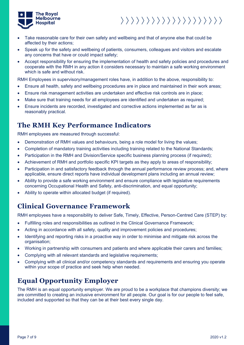

- Take reasonable care for their own safety and wellbeing and that of anyone else that could be affected by their actions;
- Speak up for the safety and wellbeing of patients, consumers, colleagues and visitors and escalate any concerns that have or could impact safety;
- Accept responsibility for ensuring the implementation of health and safety policies and procedures and cooperate with the RMH in any action it considers necessary to maintain a safe working environment which is safe and without risk.

RMH Employees in supervisory/management roles have, in addition to the above, responsibility to:

- Ensure all health, safety and wellbeing procedures are in place and maintained in their work areas;
- Ensure risk management activities are undertaken and effective risk controls are in place;
- Make sure that training needs for all employees are identified and undertaken as required;
- Ensure incidents are recorded, investigated and corrective actions implemented as far as is reasonably practical.

### **The RMH Key Performance Indicators**

RMH employees are measured through successful:

- Demonstration of RMH values and behaviours, being a role model for living the values;
- Completion of mandatory training activities including training related to the National Standards;
- Participation in the RMH and Division/Service specific business planning process (if required);
- Achievement of RMH and portfolio specific KPI targets as they apply to areas of responsibility;
- Participation in and satisfactory feedback through the annual performance review process; and, where applicable, ensure direct reports have individual development plans including an annual review;
- Ability to provide a safe working environment and ensure compliance with legislative requirements concerning Occupational Health and Safety, anti-discrimination, and equal opportunity;
- Ability to operate within allocated budget (if required).

### **Clinical Governance Framework**

RMH employees have a responsibility to deliver Safe, Timely, Effective, Person-Centred Care (STEP) by:

- Fulfilling roles and responsibilities as outlined in the Clinical Governance Framework;
- Acting in accordance with all safety, quality and improvement policies and procedures;
- Identifying and reporting risks in a proactive way in order to minimise and mitigate risk across the organisation;
- Working in partnership with consumers and patients and where applicable their carers and families;
- Complying with all relevant standards and legislative requirements;
- Complying with all clinical and/or competency standards and requirements and ensuring you operate within your scope of practice and seek help when needed.

## **Equal Opportunity Employer**

The RMH is an equal opportunity employer. We are proud to be a workplace that champions diversity; we are committed to creating an inclusive environment for all people. Our goal is for our people to feel safe, included and supported so that they can be at their best every single day.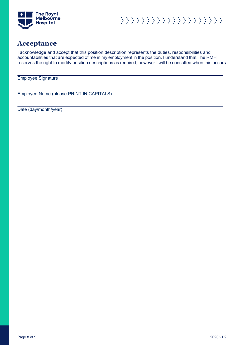

 $\rangle \rangle \rangle \rangle \rangle \rangle \rangle \rangle \rangle \rangle \rangle \rangle \rangle \rangle \rangle \rangle \rangle \rangle$ 

### **Acceptance**

I acknowledge and accept that this position description represents the duties, responsibilities and accountabilities that are expected of me in my employment in the position. I understand that The RMH reserves the right to modify position descriptions as required, however I will be consulted when this occurs.

Employee Signature

Employee Name (please PRINT IN CAPITALS)

Date (day/month/year)